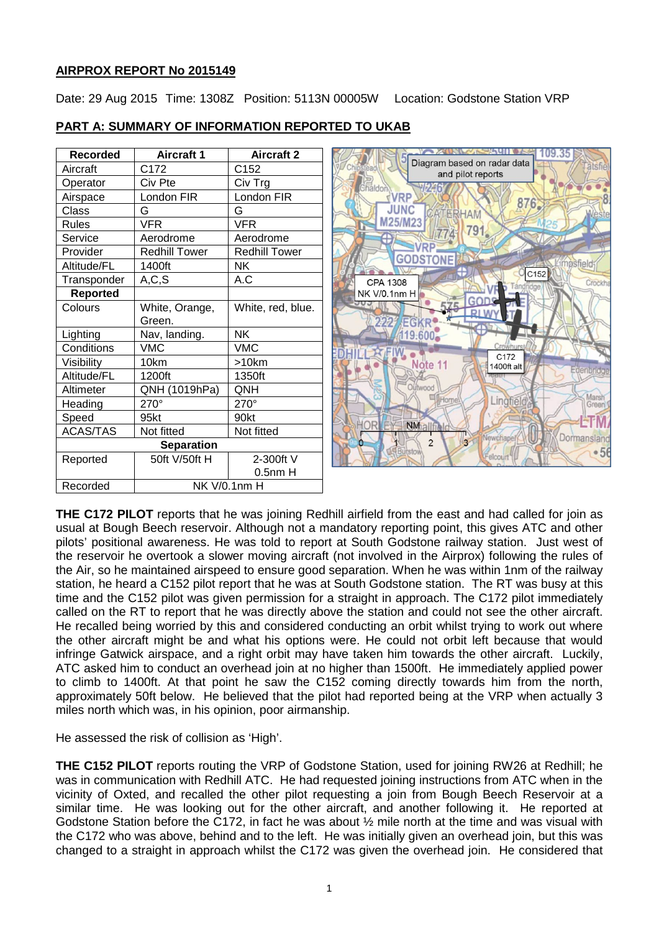# **AIRPROX REPORT No 2015149**

Date: 29 Aug 2015 Time: 1308Z Position: 5113N 00005W Location: Godstone Station VRP

| <b>Recorded</b>   | <b>Aircraft 1</b>    | <b>Aircraft 2</b>    |
|-------------------|----------------------|----------------------|
| Aircraft          | C172                 | C152                 |
| Operator          | Civ Pte              | Civ Trg              |
| Airspace          | London FIR           | London FIR           |
| Class             | G                    | G                    |
| Rules             | <b>VFR</b>           | <b>VFR</b>           |
| Service           | Aerodrome            | Aerodrome            |
| Provider          | <b>Redhill Tower</b> | <b>Redhill Tower</b> |
| Altitude/FL       | 1400ft               | ΝK                   |
| Transponder       | A, C, S              | A.C                  |
| <b>Reported</b>   |                      |                      |
| Colours           | White, Orange,       | White, red, blue.    |
|                   | Green.               |                      |
| Lighting          | Nav, landing.        | NΚ                   |
| Conditions        | VMC                  | <b>VMC</b>           |
| Visibility        | 10km                 | >10km                |
| Altitude/FL       | 1200ft               | 1350ft               |
| Altimeter         | QNH (1019hPa)        | ONH                  |
| Heading           | $270^\circ$          | 270°                 |
| Speed             | 95kt                 | 90kt                 |
| <b>ACAS/TAS</b>   | Not fitted           | Not fitted           |
| <b>Separation</b> |                      |                      |
| Reported          | 50ft V/50ft H        | 2-300ft V            |
|                   |                      | $0.5nm$ H            |
| Recorded          | <b>NK V/0.1nm H</b>  |                      |

# **PART A: SUMMARY OF INFORMATION REPORTED TO UKAB**



**THE C172 PILOT** reports that he was joining Redhill airfield from the east and had called for join as usual at Bough Beech reservoir. Although not a mandatory reporting point, this gives ATC and other pilots' positional awareness. He was told to report at South Godstone railway station. Just west of the reservoir he overtook a slower moving aircraft (not involved in the Airprox) following the rules of the Air, so he maintained airspeed to ensure good separation. When he was within 1nm of the railway station, he heard a C152 pilot report that he was at South Godstone station. The RT was busy at this time and the C152 pilot was given permission for a straight in approach. The C172 pilot immediately called on the RT to report that he was directly above the station and could not see the other aircraft. He recalled being worried by this and considered conducting an orbit whilst trying to work out where the other aircraft might be and what his options were. He could not orbit left because that would infringe Gatwick airspace, and a right orbit may have taken him towards the other aircraft. Luckily, ATC asked him to conduct an overhead join at no higher than 1500ft. He immediately applied power to climb to 1400ft. At that point he saw the C152 coming directly towards him from the north, approximately 50ft below. He believed that the pilot had reported being at the VRP when actually 3 miles north which was, in his opinion, poor airmanship.

He assessed the risk of collision as 'High'.

**THE C152 PILOT** reports routing the VRP of Godstone Station, used for joining RW26 at Redhill; he was in communication with Redhill ATC. He had requested joining instructions from ATC when in the vicinity of Oxted, and recalled the other pilot requesting a join from Bough Beech Reservoir at a similar time. He was looking out for the other aircraft, and another following it. He reported at Godstone Station before the C172, in fact he was about ½ mile north at the time and was visual with the C172 who was above, behind and to the left. He was initially given an overhead join, but this was changed to a straight in approach whilst the C172 was given the overhead join. He considered that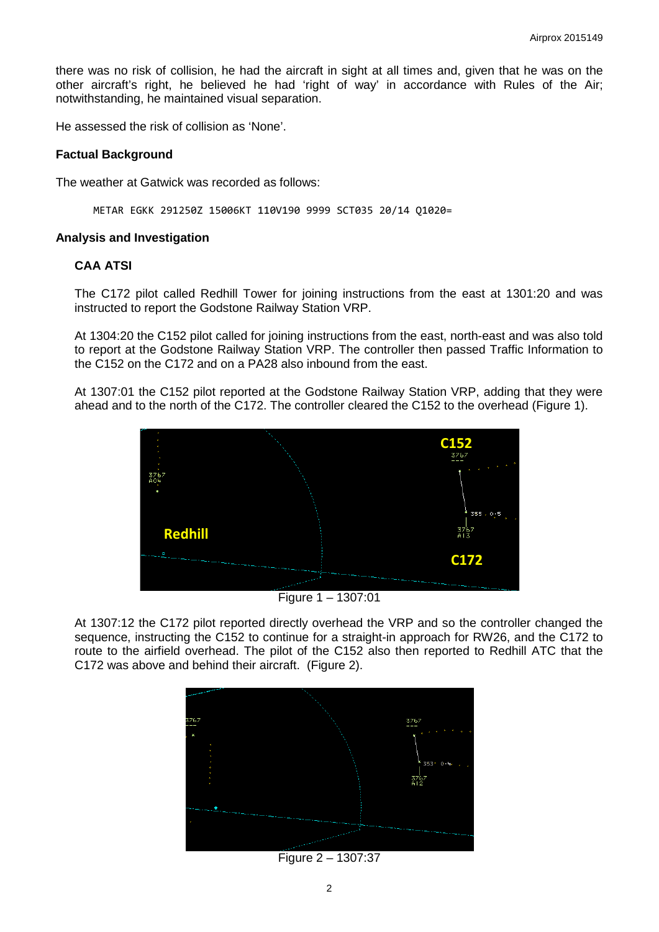there was no risk of collision, he had the aircraft in sight at all times and, given that he was on the other aircraft's right, he believed he had 'right of way' in accordance with Rules of the Air; notwithstanding, he maintained visual separation.

He assessed the risk of collision as 'None'.

#### **Factual Background**

The weather at Gatwick was recorded as follows:

METAR EGKK 291250Z 15006KT 110V190 9999 SCT035 20/14 Q1020=

#### **Analysis and Investigation**

### **CAA ATSI**

The C172 pilot called Redhill Tower for joining instructions from the east at 1301:20 and was instructed to report the Godstone Railway Station VRP.

At 1304:20 the C152 pilot called for joining instructions from the east, north-east and was also told to report at the Godstone Railway Station VRP. The controller then passed Traffic Information to the C152 on the C172 and on a PA28 also inbound from the east.

At 1307:01 the C152 pilot reported at the Godstone Railway Station VRP, adding that they were ahead and to the north of the C172. The controller cleared the C152 to the overhead (Figure 1).



Figure 1 – 1307:01

At 1307:12 the C172 pilot reported directly overhead the VRP and so the controller changed the sequence, instructing the C152 to continue for a straight-in approach for RW26, and the C172 to route to the airfield overhead. The pilot of the C152 also then reported to Redhill ATC that the C172 was above and behind their aircraft. (Figure 2).



Figure 2 – 1307:37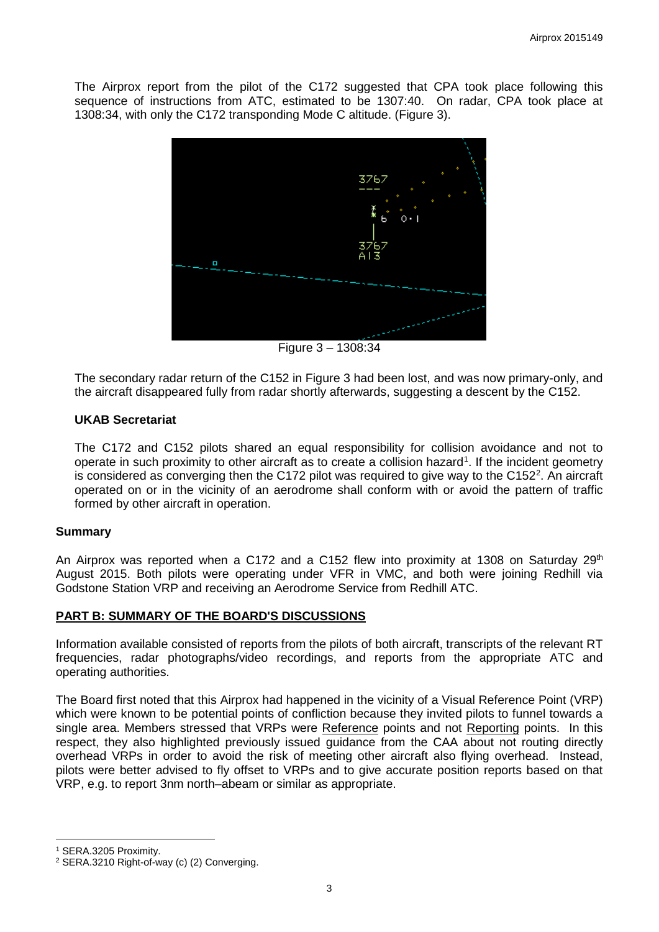The Airprox report from the pilot of the C172 suggested that CPA took place following this sequence of instructions from ATC, estimated to be 1307:40. On radar, CPA took place at 1308:34, with only the C172 transponding Mode C altitude. (Figure 3).



Figure 3 – 1308:34

The secondary radar return of the C152 in Figure 3 had been lost, and was now primary-only, and the aircraft disappeared fully from radar shortly afterwards, suggesting a descent by the C152.

## **UKAB Secretariat**

The C172 and C152 pilots shared an equal responsibility for collision avoidance and not to operate in such proximity to other aircraft as to create a collision hazard<sup>[1](#page-2-0)</sup>. If the incident geometry is considered as converging then the C17[2](#page-2-1) pilot was required to give way to the C152<sup>2</sup>. An aircraft operated on or in the vicinity of an aerodrome shall conform with or avoid the pattern of traffic formed by other aircraft in operation.

#### **Summary**

An Airprox was reported when a C172 and a C152 flew into proximity at 1308 on Saturday  $29<sup>th</sup>$ August 2015. Both pilots were operating under VFR in VMC, and both were joining Redhill via Godstone Station VRP and receiving an Aerodrome Service from Redhill ATC.

## **PART B: SUMMARY OF THE BOARD'S DISCUSSIONS**

Information available consisted of reports from the pilots of both aircraft, transcripts of the relevant RT frequencies, radar photographs/video recordings, and reports from the appropriate ATC and operating authorities.

The Board first noted that this Airprox had happened in the vicinity of a Visual Reference Point (VRP) which were known to be potential points of confliction because they invited pilots to funnel towards a single area. Members stressed that VRPs were Reference points and not Reporting points. In this respect, they also highlighted previously issued guidance from the CAA about not routing directly overhead VRPs in order to avoid the risk of meeting other aircraft also flying overhead. Instead, pilots were better advised to fly offset to VRPs and to give accurate position reports based on that VRP, e.g. to report 3nm north–abeam or similar as appropriate.

l

<span id="page-2-0"></span><sup>1</sup> SERA.3205 Proximity.

<span id="page-2-1"></span><sup>2</sup> SERA.3210 Right-of-way (c) (2) Converging.